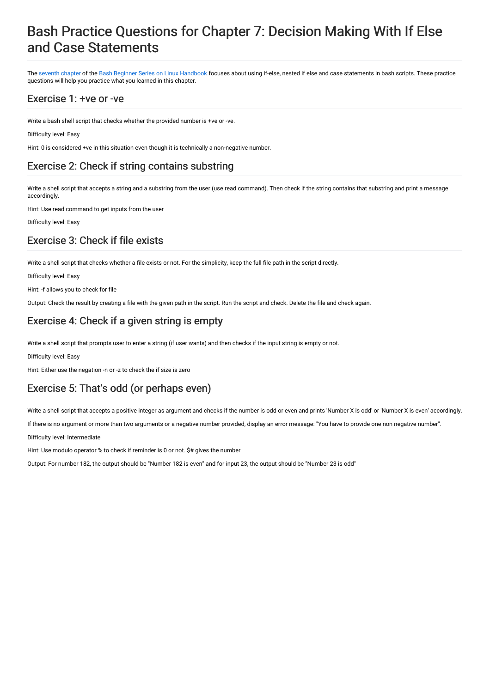# Bash Practice Questions for Chapter 7: Decision Making With If Else and Case Statements

The [seventh](https://linuxhandbook.com/if-else-bash/) chapter of the Bash Beginner Series on Linux [Handbook](https://linuxhandbook.com/tag/bash-beginner/) focuses about using if-else, nested if else and case statements in bash scripts. These practice questions will help you practice what you learned in this chapter.

### Exercise 1: +ve or -ve

Write a bash shell script that checks whether the provided number is +ve or -ve.

Difficulty level: Easy

Hint: 0 is considered +ve in this situation even though it is technically a non-negative number.

## Exercise 2: Check if string contains substring

Write a shell script that accepts a string and a substring from the user (use read command). Then check if the string contains that substring and print a message accordingly.

Hint: Use read command to get inputs from the user

Difficulty level: Easy

### Exercise 3: Check if file exists

Write a shell script that checks whether a file exists or not. For the simplicity, keep the full file path in the script directly.

Difficulty level: Easy

Hint: -f allows you to check for file

Output: Check the result by creating a file with the given path in the script. Run the script and check. Delete the file and check again.

# Exercise 4: Check if a given string is empty

Write a shell script that prompts user to enter a string (if user wants) and then checks if the input string is empty or not.

Difficulty level: Easy

Hint: Either use the negation -n or -z to check the if size is zero

## Exercise 5: That's odd (or perhaps even)

Write a shell script that accepts a positive integer as argument and checks if the number is odd or even and prints 'Number X is odd' or 'Number X is even' accordingly.

If there is no argument or more than two arguments or a negative number provided, display an error message: "You have to provide one non negative number".

Difficulty level: Intermediate

Hint: Use modulo operator % to check if reminder is 0 or not. \$# gives the number

Output: For number 182, the output should be "Number 182 is even" and for input 23, the output should be "Number 23 is odd"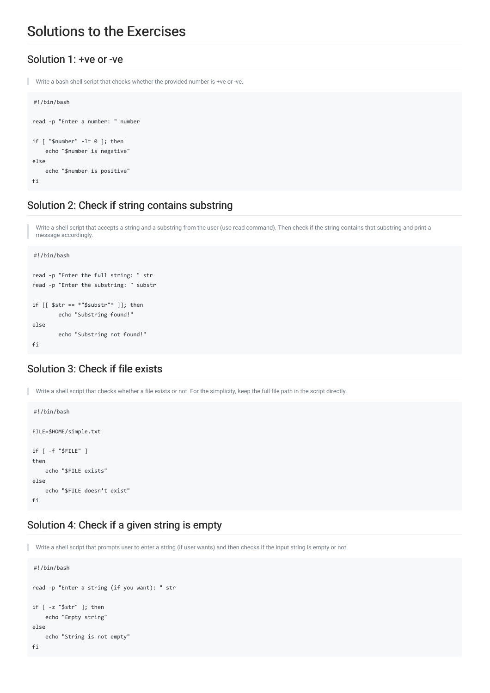# Solutions to the Exercises

#### Solution 1: +ve or -ve

```
ı
  Write a bash shell script that checks whether the provided number is +ve or -ve.
```

```
#!/bin/bash
read -p "Enter a number: " number
if [ "$number" -lt 0 ]; then
    echo "$number is negative"
else
    echo "$number is positive"
fi
```
### Solution 2: Check if string contains substring

Write a shell script that accepts a string and a substring from the user (use read command). Then check if the string contains that substring and print a message accordingly.

```
#!/bin/bash
read -p "Enter the full string: " str
read -p "Enter the substring: " substr
if \lceil \int $str == *"$substr"* \rceil]; then
        echo "Substring found!"
else
        echo "Substring not found!"
fi
```
## Solution 3: Check if file exists

Write a shell script that checks whether a file exists or not. For the simplicity, keep the full file path in the script directly. ٠ #!/bin/bash FILE=\$HOME/simple.txt if [ -f "\$FILE" ] then echo "\$FILE exists" else echo "\$FILE doesn't exist"  $f_i$ 

#### Solution 4: Check if a given string is empty

Write a shell script that prompts user to enter a string (if user wants) and then checks if the input string is empty or not.

```
#!/bin/bash
read -p "Enter a string (if you want): " str
if [ -z "$str" ]; then
    echo "Empty string"
else
    echo "String is not empty"
fi
```